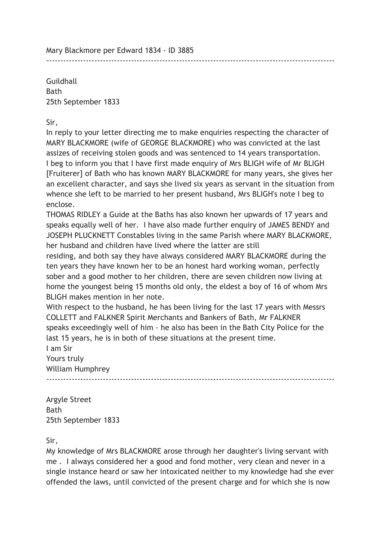Mary Blackmore per Edward 1834 - ID 3885

**Guildhall** Bath 25th September 1833

Sir,

In reply to your letter directing me to make enquiries respecting the character of MARY BLACKMORE (wife of GEORGE BLACKMORE) who was convicted at the last assizes of receiving stolen goods and was sentenced to 14 years transportation. I beg to inform you that I have first made enquiry of Mrs BLIGH wife of Mr BLIGH [Fruiterer] of Bath who has known MARY BLACKMORE for many years, she gives her an excellent character, and says she lived six years as servant in the situation from whence she left to be married to her present husband, Mrs BLIGH's note I beg to enclose.

------------------------------------------------------------------------------------------------------

THOMAS RIDLEY a Guide at the Baths has also known her upwards of 17 years and speaks equally well of her. I have also made further enquiry of JAMES BENDY and JOSEPH PLUCKNETT Constables living in the same Parish where MARY BLACKMORE, her husband and children have lived where the latter are still

residing, and both say they have always considered MARY BLACKMORE during the ten years they have known her to be an honest hard working woman, perfectly sober and a good mother to her children, there are seven children now living at home the youngest being 15 months old only, the eldest a boy of 16 of whom Mrs BLIGH makes mention in her note.

With respect to the husband, he has been living for the last 17 years with Messrs COLLETT and FALKNER Spirit Merchants and Bankers of Bath, Mr FALKNER speaks exceedingly well of him - he also has been in the Bath City Police for the last 15 years, he is in both of these situations at the present time. I am Sir

------------------------------------------------------------------------------------------------------

Yours truly William Humphrey

Argyle Street Bath 25th September 1833

Sir,

My knowledge of Mrs BLACKMORE arose through her daughter's living servant with me . I always considered her a good and fond mother, very clean and never in a single instance heard or saw her intoxicated neither to my knowledge had she ever offended the laws, until convicted of the present charge and for which she is now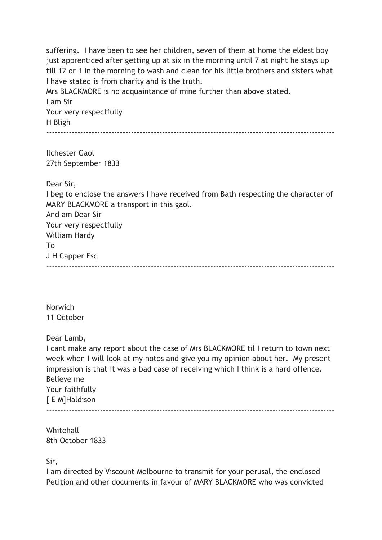suffering. I have been to see her children, seven of them at home the eldest boy just apprenticed after getting up at six in the morning until 7 at night he stays up till 12 or 1 in the morning to wash and clean for his little brothers and sisters what I have stated is from charity and is the truth.

Mrs BLACKMORE is no acquaintance of mine further than above stated. I am Sir Your very respectfully

H Bligh

------------------------------------------------------------------------------------------------------

Ilchester Gaol 27th September 1833

Dear Sir,

I beg to enclose the answers I have received from Bath respecting the character of MARY BLACKMORE a transport in this gaol. And am Dear Sir Your very respectfully William Hardy To J H Capper Esq

 $-$ 

Norwich 11 October

Dear Lamb,

I cant make any report about the case of Mrs BLACKMORE til I return to town next week when I will look at my notes and give you my opinion about her. My present impression is that it was a bad case of receiving which I think is a hard offence. Believe me Your faithfully [ E M]Haldison ------------------------------------------------------------------------------------------------------

Whitehall 8th October 1833

Sir,

I am directed by Viscount Melbourne to transmit for your perusal, the enclosed Petition and other documents in favour of MARY BLACKMORE who was convicted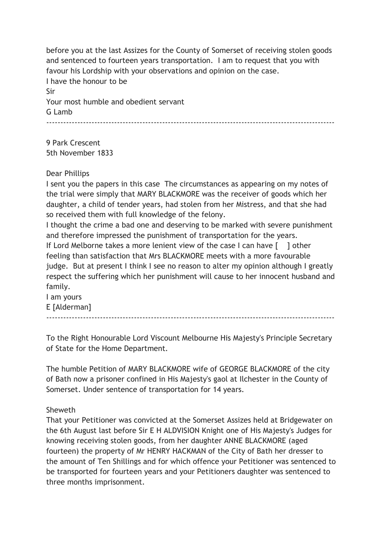before you at the last Assizes for the County of Somerset of receiving stolen goods and sentenced to fourteen years transportation. I am to request that you with favour his Lordship with your observations and opinion on the case. I have the honour to be Sir Your most humble and obedient servant G Lamb ------------------------------------------------------------------------------------------------------

9 Park Crescent 5th November 1833

# Dear Phillips

I sent you the papers in this case The circumstances as appearing on my notes of the trial were simply that MARY BLACKMORE was the receiver of goods which her daughter, a child of tender years, had stolen from her Mistress, and that she had so received them with full knowledge of the felony.

I thought the crime a bad one and deserving to be marked with severe punishment and therefore impressed the punishment of transportation for the years.

If Lord Melborne takes a more lenient view of the case I can have [ ] other feeling than satisfaction that Mrs BLACKMORE meets with a more favourable judge. But at present I think I see no reason to alter my opinion although I greatly respect the suffering which her punishment will cause to her innocent husband and family.

I am yours E [Alderman] ------------------------------------------------------------------------------------------------------

To the Right Honourable Lord Viscount Melbourne His Majesty's Principle Secretary of State for the Home Department.

The humble Petition of MARY BLACKMORE wife of GEORGE BLACKMORE of the city of Bath now a prisoner confined in His Majesty's gaol at Ilchester in the County of Somerset. Under sentence of transportation for 14 years.

# Sheweth

That your Petitioner was convicted at the Somerset Assizes held at Bridgewater on the 6th August last before Sir E H ALDVISION Knight one of His Majesty's Judges for knowing receiving stolen goods, from her daughter ANNE BLACKMORE (aged fourteen) the property of Mr HENRY HACKMAN of the City of Bath her dresser to the amount of Ten Shillings and for which offence your Petitioner was sentenced to be transported for fourteen years and your Petitioners daughter was sentenced to three months imprisonment.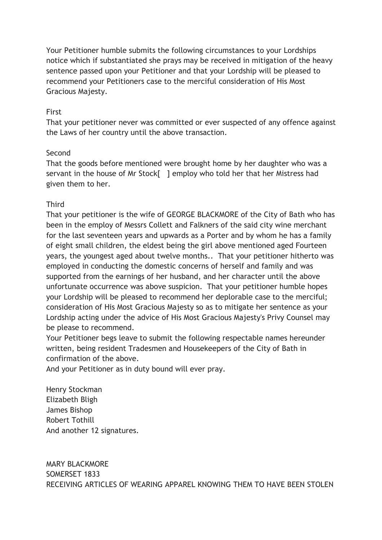Your Petitioner humble submits the following circumstances to your Lordships notice which if substantiated she prays may be received in mitigation of the heavy sentence passed upon your Petitioner and that your Lordship will be pleased to recommend your Petitioners case to the merciful consideration of His Most Gracious Majesty.

# First

That your petitioner never was committed or ever suspected of any offence against the Laws of her country until the above transaction.

### Second

That the goods before mentioned were brought home by her daughter who was a servant in the house of Mr Stock[ ] employ who told her that her Mistress had given them to her.

# **Third**

That your petitioner is the wife of GEORGE BLACKMORE of the City of Bath who has been in the employ of Messrs Collett and Falkners of the said city wine merchant for the last seventeen years and upwards as a Porter and by whom he has a family of eight small children, the eldest being the girl above mentioned aged Fourteen years, the youngest aged about twelve months.. That your petitioner hitherto was employed in conducting the domestic concerns of herself and family and was supported from the earnings of her husband, and her character until the above unfortunate occurrence was above suspicion. That your petitioner humble hopes your Lordship will be pleased to recommend her deplorable case to the merciful; consideration of His Most Gracious Majesty so as to mitigate her sentence as your Lordship acting under the advice of His Most Gracious Majesty's Privy Counsel may be please to recommend.

Your Petitioner begs leave to submit the following respectable names hereunder written, being resident Tradesmen and Housekeepers of the City of Bath in confirmation of the above.

And your Petitioner as in duty bound will ever pray.

Henry Stockman Elizabeth Bligh James Bishop Robert Tothill And another 12 signatures.

MARY BLACKMORE SOMERSET 1833 RECEIVING ARTICLES OF WEARING APPAREL KNOWING THEM TO HAVE BEEN STOLEN